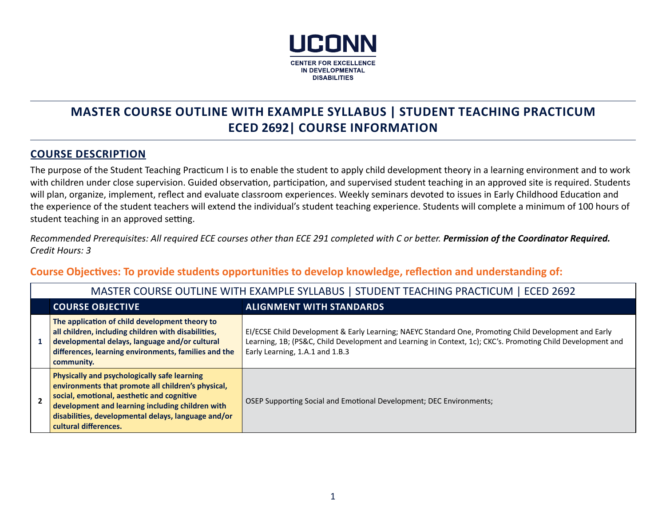

# **MASTER COURSE OUTLINE WITH EXAMPLE SYLLABUS | STUDENT TEACHING PRACTICUM ECED 2692| COURSE INFORMATION**

#### **COURSE DESCRIPTION**

The purpose of the Student Teaching Practicum I is to enable the student to apply child development theory in a learning environment and to work with children under close supervision. Guided observation, participation, and supervised student teaching in an approved site is required. Students will plan, organize, implement, reflect and evaluate classroom experiences. Weekly seminars devoted to issues in Early Childhood Education and the experience of the student teachers will extend the individual's student teaching experience. Students will complete a minimum of 100 hours of student teaching in an approved setting.

*Recommended Prerequisites: All required ECE courses other than ECE 291 completed with C or better. Permission of the Coordinator Required. Credit Hours: 3*

**Course Objectives: To provide students opportunities to develop knowledge, reflection and understanding of:**

| MASTER COURSE OUTLINE WITH EXAMPLE SYLLABUS   STUDENT TEACHING PRACTICUM   ECED 2692                                                                                                                                                                                                        |                                                                                                                                                                                                                                                         |  |  |
|---------------------------------------------------------------------------------------------------------------------------------------------------------------------------------------------------------------------------------------------------------------------------------------------|---------------------------------------------------------------------------------------------------------------------------------------------------------------------------------------------------------------------------------------------------------|--|--|
| <b>COURSE OBJECTIVE</b>                                                                                                                                                                                                                                                                     | <b>ALIGNMENT WITH STANDARDS</b>                                                                                                                                                                                                                         |  |  |
| The application of child development theory to<br>all children, including children with disabilities,<br>developmental delays, language and/or cultural<br>differences, learning environments, families and the<br>community.                                                               | EI/ECSE Child Development & Early Learning; NAEYC Standard One, Promoting Child Development and Early<br>Learning, 1B; (PS&C, Child Development and Learning in Context, 1c); CKC's. Promoting Child Development and<br>Early Learning, 1.A.1 and 1.B.3 |  |  |
| <b>Physically and psychologically safe learning</b><br>environments that promote all children's physical,<br>social, emotional, aesthetic and cognitive<br>development and learning including children with<br>disabilities, developmental delays, language and/or<br>cultural differences. | OSEP Supporting Social and Emotional Development; DEC Environments;                                                                                                                                                                                     |  |  |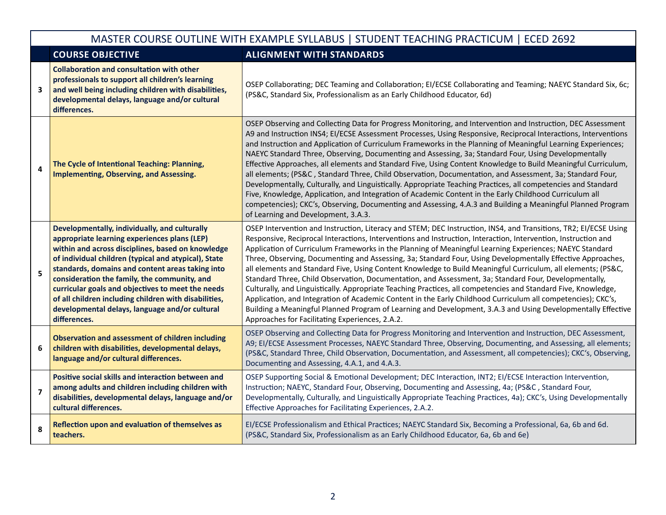|                | MASTER COURSE OUTLINE WITH EXAMPLE SYLLABUS   STUDENT TEACHING PRACTICUM   ECED 2692                                                                                                                                                                                                                                                                                                                                                                                                           |                                                                                                                                                                                                                                                                                                                                                                                                                                                                                                                                                                                                                                                                                                                                                                                                                                                                                                                                                                                                                                                                                            |  |
|----------------|------------------------------------------------------------------------------------------------------------------------------------------------------------------------------------------------------------------------------------------------------------------------------------------------------------------------------------------------------------------------------------------------------------------------------------------------------------------------------------------------|--------------------------------------------------------------------------------------------------------------------------------------------------------------------------------------------------------------------------------------------------------------------------------------------------------------------------------------------------------------------------------------------------------------------------------------------------------------------------------------------------------------------------------------------------------------------------------------------------------------------------------------------------------------------------------------------------------------------------------------------------------------------------------------------------------------------------------------------------------------------------------------------------------------------------------------------------------------------------------------------------------------------------------------------------------------------------------------------|--|
|                | <b>COURSE OBJECTIVE</b>                                                                                                                                                                                                                                                                                                                                                                                                                                                                        | <b>ALIGNMENT WITH STANDARDS</b>                                                                                                                                                                                                                                                                                                                                                                                                                                                                                                                                                                                                                                                                                                                                                                                                                                                                                                                                                                                                                                                            |  |
| 3              | <b>Collaboration and consultation with other</b><br>professionals to support all children's learning<br>and well being including children with disabilities,<br>developmental delays, language and/or cultural<br>differences.                                                                                                                                                                                                                                                                 | OSEP Collaborating; DEC Teaming and Collaboration; EI/ECSE Collaborating and Teaming; NAEYC Standard Six, 6c;<br>(PS&C, Standard Six, Professionalism as an Early Childhood Educator, 6d)                                                                                                                                                                                                                                                                                                                                                                                                                                                                                                                                                                                                                                                                                                                                                                                                                                                                                                  |  |
| 4              | The Cycle of Intentional Teaching: Planning,<br><b>Implementing, Observing, and Assessing.</b>                                                                                                                                                                                                                                                                                                                                                                                                 | OSEP Observing and Collecting Data for Progress Monitoring, and Intervention and Instruction, DEC Assessment<br>A9 and Instruction INS4; EI/ECSE Assessment Processes, Using Responsive, Reciprocal Interactions, Interventions<br>and Instruction and Application of Curriculum Frameworks in the Planning of Meaningful Learning Experiences;<br>NAEYC Standard Three, Observing, Documenting and Assessing, 3a; Standard Four, Using Developmentally<br>Effective Approaches, all elements and Standard Five, Using Content Knowledge to Build Meaningful Curriculum,<br>all elements; (PS&C, Standard Three, Child Observation, Documentation, and Assessment, 3a; Standard Four,<br>Developmentally, Culturally, and Linguistically. Appropriate Teaching Practices, all competencies and Standard<br>Five, Knowledge, Application, and Integration of Academic Content in the Early Childhood Curriculum all<br>competencies); CKC's, Observing, Documenting and Assessing, 4.A.3 and Building a Meaningful Planned Program<br>of Learning and Development, 3.A.3.                   |  |
| 5              | Developmentally, individually, and culturally<br>appropriate learning experiences plans (LEP)<br>within and across disciplines, based on knowledge<br>of individual children (typical and atypical), State<br>standards, domains and content areas taking into<br>consideration the family, the community, and<br>curricular goals and objectives to meet the needs<br>of all children including children with disabilities,<br>developmental delays, language and/or cultural<br>differences. | OSEP Intervention and Instruction, Literacy and STEM; DEC Instruction, INS4, and Transitions, TR2; EI/ECSE Using<br>Responsive, Reciprocal Interactions, Interventions and Instruction, Interaction, Intervention, Instruction and<br>Application of Curriculum Frameworks in the Planning of Meaningful Learning Experiences; NAEYC Standard<br>Three, Observing, Documenting and Assessing, 3a; Standard Four, Using Developmentally Effective Approaches,<br>all elements and Standard Five, Using Content Knowledge to Build Meaningful Curriculum, all elements; (PS&C,<br>Standard Three, Child Observation, Documentation, and Assessment, 3a; Standard Four, Developmentally,<br>Culturally, and Linguistically. Appropriate Teaching Practices, all competencies and Standard Five, Knowledge,<br>Application, and Integration of Academic Content in the Early Childhood Curriculum all competencies); CKC's,<br>Building a Meaningful Planned Program of Learning and Development, 3.A.3 and Using Developmentally Effective<br>Approaches for Facilitating Experiences, 2.A.2. |  |
| 6              | <b>Observation and assessment of children including</b><br>children with disabilities, developmental delays,<br>language and/or cultural differences.                                                                                                                                                                                                                                                                                                                                          | OSEP Observing and Collecting Data for Progress Monitoring and Intervention and Instruction, DEC Assessment,<br>A9; EI/ECSE Assessment Processes, NAEYC Standard Three, Observing, Documenting, and Assessing, all elements;<br>(PS&C, Standard Three, Child Observation, Documentation, and Assessment, all competencies); CKC's, Observing,<br>Documenting and Assessing, 4.A.1, and 4.A.3.                                                                                                                                                                                                                                                                                                                                                                                                                                                                                                                                                                                                                                                                                              |  |
| $\overline{7}$ | Positive social skills and interaction between and<br>among adults and children including children with<br>disabilities, developmental delays, language and/or<br>cultural differences.                                                                                                                                                                                                                                                                                                        | OSEP Supporting Social & Emotional Development; DEC Interaction, INT2; EI/ECSE Interaction Intervention,<br>Instruction; NAEYC, Standard Four, Observing, Documenting and Assessing, 4a; (PS&C, Standard Four,<br>Developmentally, Culturally, and Linguistically Appropriate Teaching Practices, 4a); CKC's, Using Developmentally<br>Effective Approaches for Facilitating Experiences, 2.A.2.                                                                                                                                                                                                                                                                                                                                                                                                                                                                                                                                                                                                                                                                                           |  |
| 8              | Reflection upon and evaluation of themselves as<br>teachers.                                                                                                                                                                                                                                                                                                                                                                                                                                   | EI/ECSE Professionalism and Ethical Practices; NAEYC Standard Six, Becoming a Professional, 6a, 6b and 6d.<br>(PS&C, Standard Six, Professionalism as an Early Childhood Educator, 6a, 6b and 6e)                                                                                                                                                                                                                                                                                                                                                                                                                                                                                                                                                                                                                                                                                                                                                                                                                                                                                          |  |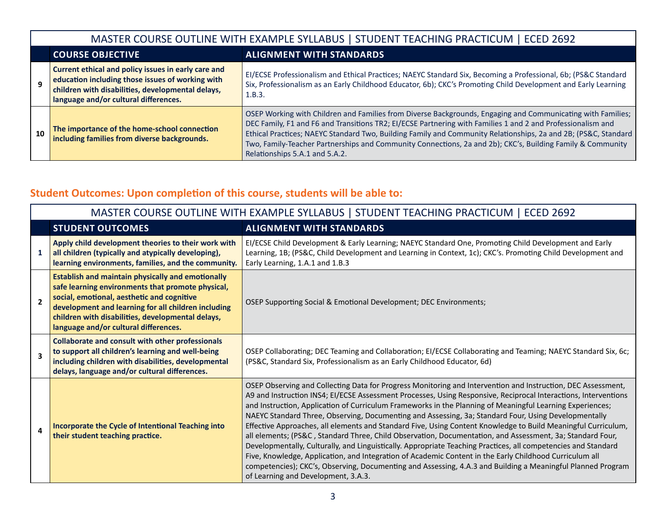|    | MASTER COURSE OUTLINE WITH EXAMPLE SYLLABUS   STUDENT TEACHING PRACTICUM   ECED 2692                                                                                                                  |                                                                                                                                                                                                                                                                                                                                                                                                                                                                                              |  |  |
|----|-------------------------------------------------------------------------------------------------------------------------------------------------------------------------------------------------------|----------------------------------------------------------------------------------------------------------------------------------------------------------------------------------------------------------------------------------------------------------------------------------------------------------------------------------------------------------------------------------------------------------------------------------------------------------------------------------------------|--|--|
|    | <b>COURSE OBJECTIVE</b>                                                                                                                                                                               | <b>ALIGNMENT WITH STANDARDS</b>                                                                                                                                                                                                                                                                                                                                                                                                                                                              |  |  |
| 9  | Current ethical and policy issues in early care and<br>education including those issues of working with<br>children with disabilities, developmental delays,<br>language and/or cultural differences. | EI/ECSE Professionalism and Ethical Practices; NAEYC Standard Six, Becoming a Professional, 6b; (PS&C Standard<br>Six, Professionalism as an Early Childhood Educator, 6b); CKC's Promoting Child Development and Early Learning<br>1.B.3.                                                                                                                                                                                                                                                   |  |  |
| 10 | The importance of the home-school connection<br>including families from diverse backgrounds.                                                                                                          | OSEP Working with Children and Families from Diverse Backgrounds, Engaging and Communicating with Families;<br>DEC Family, F1 and F6 and Transitions TR2; EI/ECSE Partnering with Families 1 and 2 and Professionalism and<br>Ethical Practices; NAEYC Standard Two, Building Family and Community Relationships, 2a and 2B; (PS&C, Standard<br>Two, Family-Teacher Partnerships and Community Connections, 2a and 2b); CKC's, Building Family & Community<br>Relationships 5.A.1 and 5.A.2. |  |  |

# **Student Outcomes: Upon completion of this course, students will be able to:**

| MASTER COURSE OUTLINE WITH EXAMPLE SYLLABUS   STUDENT TEACHING PRACTICUM   ECED 2692 |                                                                                                                                                                                                                                                                                                                  |                                                                                                                                                                                                                                                                                                                                                                                                                                                                                                                                                                                                                                                                                                                                                                                                                                                                                                                                                                                                                                                                       |
|--------------------------------------------------------------------------------------|------------------------------------------------------------------------------------------------------------------------------------------------------------------------------------------------------------------------------------------------------------------------------------------------------------------|-----------------------------------------------------------------------------------------------------------------------------------------------------------------------------------------------------------------------------------------------------------------------------------------------------------------------------------------------------------------------------------------------------------------------------------------------------------------------------------------------------------------------------------------------------------------------------------------------------------------------------------------------------------------------------------------------------------------------------------------------------------------------------------------------------------------------------------------------------------------------------------------------------------------------------------------------------------------------------------------------------------------------------------------------------------------------|
|                                                                                      | <b>STUDENT OUTCOMES</b>                                                                                                                                                                                                                                                                                          | <b>ALIGNMENT WITH STANDARDS</b>                                                                                                                                                                                                                                                                                                                                                                                                                                                                                                                                                                                                                                                                                                                                                                                                                                                                                                                                                                                                                                       |
|                                                                                      | Apply child development theories to their work with<br>all children (typically and atypically developing),<br>learning environments, families, and the community.                                                                                                                                                | EI/ECSE Child Development & Early Learning; NAEYC Standard One, Promoting Child Development and Early<br>Learning, 1B; (PS&C, Child Development and Learning in Context, 1c); CKC's. Promoting Child Development and<br>Early Learning, 1.A.1 and 1.B.3                                                                                                                                                                                                                                                                                                                                                                                                                                                                                                                                                                                                                                                                                                                                                                                                               |
| $\overline{\phantom{a}}$                                                             | <b>Establish and maintain physically and emotionally</b><br>safe learning environments that promote physical,<br>social, emotional, aesthetic and cognitive<br>development and learning for all children including<br>children with disabilities, developmental delays,<br>language and/or cultural differences. | OSEP Supporting Social & Emotional Development; DEC Environments;                                                                                                                                                                                                                                                                                                                                                                                                                                                                                                                                                                                                                                                                                                                                                                                                                                                                                                                                                                                                     |
| $\overline{\mathbf{3}}$                                                              | <b>Collaborate and consult with other professionals</b><br>to support all children's learning and well-being<br>including children with disabilities, developmental<br>delays, language and/or cultural differences.                                                                                             | OSEP Collaborating; DEC Teaming and Collaboration; EI/ECSE Collaborating and Teaming; NAEYC Standard Six, 6c;<br>(PS&C, Standard Six, Professionalism as an Early Childhood Educator, 6d)                                                                                                                                                                                                                                                                                                                                                                                                                                                                                                                                                                                                                                                                                                                                                                                                                                                                             |
| 4                                                                                    | Incorporate the Cycle of Intentional Teaching into<br>their student teaching practice.                                                                                                                                                                                                                           | OSEP Observing and Collecting Data for Progress Monitoring and Intervention and Instruction, DEC Assessment,<br>A9 and Instruction INS4; EI/ECSE Assessment Processes, Using Responsive, Reciprocal Interactions, Interventions<br>and Instruction, Application of Curriculum Frameworks in the Planning of Meaningful Learning Experiences;<br>NAEYC Standard Three, Observing, Documenting and Assessing, 3a; Standard Four, Using Developmentally<br>Effective Approaches, all elements and Standard Five, Using Content Knowledge to Build Meaningful Curriculum,<br>all elements; (PS&C, Standard Three, Child Observation, Documentation, and Assessment, 3a; Standard Four,<br>Developmentally, Culturally, and Linguistically. Appropriate Teaching Practices, all competencies and Standard<br>Five, Knowledge, Application, and Integration of Academic Content in the Early Childhood Curriculum all<br>competencies); CKC's, Observing, Documenting and Assessing, 4.A.3 and Building a Meaningful Planned Program<br>of Learning and Development, 3.A.3. |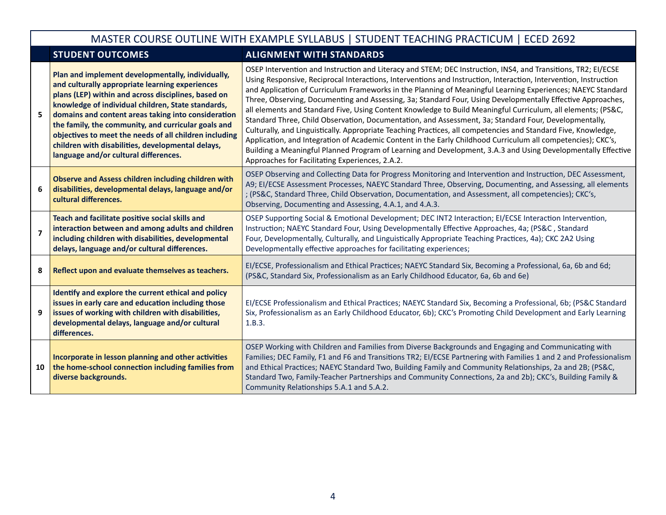## MASTER COURSE OUTLINE WITH EXAMPLE SYLLABUS | STUDENT TEACHING PRACTICUM | ECED 2692

## **STUDENT OUTCOMES ALIGNMENT WITH STANDARDS**

| 5.             | Plan and implement developmentally, individually,<br>and culturally appropriate learning experiences<br>plans (LEP) within and across disciplines, based on<br>knowledge of individual children, State standards,<br>domains and content areas taking into consideration<br>the family, the community, and curricular goals and<br>objectives to meet the needs of all children including<br>children with disabilities, developmental delays,<br>language and/or cultural differences. | OSEP Intervention and Instruction and Literacy and STEM; DEC Instruction, INS4, and Transitions, TR2; EI/ECSE<br>Using Responsive, Reciprocal Interactions, Interventions and Instruction, Interaction, Intervention, Instruction<br>and Application of Curriculum Frameworks in the Planning of Meaningful Learning Experiences; NAEYC Standard<br>Three, Observing, Documenting and Assessing, 3a; Standard Four, Using Developmentally Effective Approaches,<br>all elements and Standard Five, Using Content Knowledge to Build Meaningful Curriculum, all elements; (PS&C,<br>Standard Three, Child Observation, Documentation, and Assessment, 3a; Standard Four, Developmentally,<br>Culturally, and Linguistically. Appropriate Teaching Practices, all competencies and Standard Five, Knowledge,<br>Application, and Integration of Academic Content in the Early Childhood Curriculum all competencies); CKC's,<br>Building a Meaningful Planned Program of Learning and Development, 3.A.3 and Using Developmentally Effective<br>Approaches for Facilitating Experiences, 2.A.2. |
|----------------|-----------------------------------------------------------------------------------------------------------------------------------------------------------------------------------------------------------------------------------------------------------------------------------------------------------------------------------------------------------------------------------------------------------------------------------------------------------------------------------------|-----------------------------------------------------------------------------------------------------------------------------------------------------------------------------------------------------------------------------------------------------------------------------------------------------------------------------------------------------------------------------------------------------------------------------------------------------------------------------------------------------------------------------------------------------------------------------------------------------------------------------------------------------------------------------------------------------------------------------------------------------------------------------------------------------------------------------------------------------------------------------------------------------------------------------------------------------------------------------------------------------------------------------------------------------------------------------------------------|
| 6              | <b>Observe and Assess children including children with</b><br>disabilities, developmental delays, language and/or<br>cultural differences.                                                                                                                                                                                                                                                                                                                                              | OSEP Observing and Collecting Data for Progress Monitoring and Intervention and Instruction, DEC Assessment,<br>A9; EI/ECSE Assessment Processes, NAEYC Standard Three, Observing, Documenting, and Assessing, all elements<br>; (PS&C, Standard Three, Child Observation, Documentation, and Assessment, all competencies); CKC's,<br>Observing, Documenting and Assessing, 4.A.1, and 4.A.3.                                                                                                                                                                                                                                                                                                                                                                                                                                                                                                                                                                                                                                                                                                |
| $\overline{7}$ | Teach and facilitate positive social skills and<br>interaction between and among adults and children<br>including children with disabilities, developmental<br>delays, language and/or cultural differences.                                                                                                                                                                                                                                                                            | OSEP Supporting Social & Emotional Development; DEC INT2 Interaction; EI/ECSE Interaction Intervention,<br>Instruction; NAEYC Standard Four, Using Developmentally Effective Approaches, 4a; (PS&C, Standard<br>Four, Developmentally, Culturally, and Linguistically Appropriate Teaching Practices, 4a); CKC 2A2 Using<br>Developmentally effective approaches for facilitating experiences;                                                                                                                                                                                                                                                                                                                                                                                                                                                                                                                                                                                                                                                                                                |
| 8              | Reflect upon and evaluate themselves as teachers.                                                                                                                                                                                                                                                                                                                                                                                                                                       | EI/ECSE, Professionalism and Ethical Practices; NAEYC Standard Six, Becoming a Professional, 6a, 6b and 6d;<br>(PS&C, Standard Six, Professionalism as an Early Childhood Educator, 6a, 6b and 6e)                                                                                                                                                                                                                                                                                                                                                                                                                                                                                                                                                                                                                                                                                                                                                                                                                                                                                            |
| 9              | Identify and explore the current ethical and policy<br>issues in early care and education including those<br>issues of working with children with disabilities,<br>developmental delays, language and/or cultural<br>differences.                                                                                                                                                                                                                                                       | EI/ECSE Professionalism and Ethical Practices; NAEYC Standard Six, Becoming a Professional, 6b; (PS&C Standard<br>Six, Professionalism as an Early Childhood Educator, 6b); CKC's Promoting Child Development and Early Learning<br>1.B.3.                                                                                                                                                                                                                                                                                                                                                                                                                                                                                                                                                                                                                                                                                                                                                                                                                                                    |
| 10             | Incorporate in lesson planning and other activities<br>the home-school connection including families from<br>diverse backgrounds.                                                                                                                                                                                                                                                                                                                                                       | OSEP Working with Children and Families from Diverse Backgrounds and Engaging and Communicating with<br>Families; DEC Family, F1 and F6 and Transitions TR2; EI/ECSE Partnering with Families 1 and 2 and Professionalism<br>and Ethical Practices; NAEYC Standard Two, Building Family and Community Relationships, 2a and 2B; (PS&C,<br>Standard Two, Family-Teacher Partnerships and Community Connections, 2a and 2b); CKC's, Building Family &<br>Community Relationships 5.A.1 and 5.A.2.                                                                                                                                                                                                                                                                                                                                                                                                                                                                                                                                                                                               |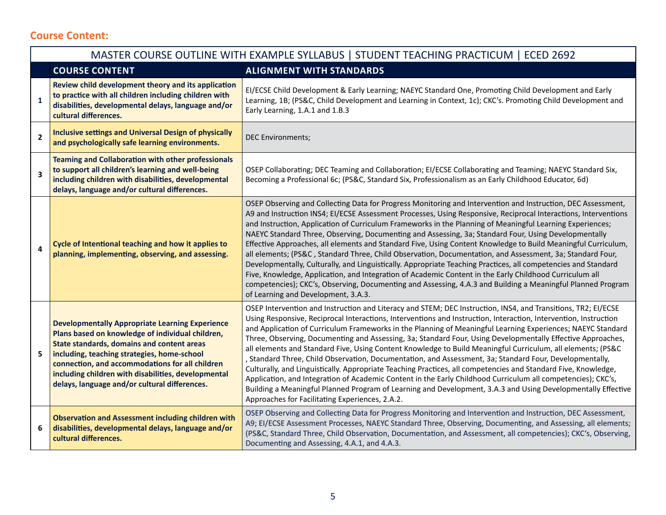## **Course Content:**

|                         | MASTER COURSE OUTLINE WITH EXAMPLE SYLLABUS   STUDENT TEACHING PRACTICUM   ECED 2692                                                                                                                                                                                                                                                                               |                                                                                                                                                                                                                                                                                                                                                                                                                                                                                                                                                                                                                                                                                                                                                                                                                                                                                                                                                                                                                                                                                                |  |  |
|-------------------------|--------------------------------------------------------------------------------------------------------------------------------------------------------------------------------------------------------------------------------------------------------------------------------------------------------------------------------------------------------------------|------------------------------------------------------------------------------------------------------------------------------------------------------------------------------------------------------------------------------------------------------------------------------------------------------------------------------------------------------------------------------------------------------------------------------------------------------------------------------------------------------------------------------------------------------------------------------------------------------------------------------------------------------------------------------------------------------------------------------------------------------------------------------------------------------------------------------------------------------------------------------------------------------------------------------------------------------------------------------------------------------------------------------------------------------------------------------------------------|--|--|
|                         | <b>COURSE CONTENT</b>                                                                                                                                                                                                                                                                                                                                              | <b>ALIGNMENT WITH STANDARDS</b>                                                                                                                                                                                                                                                                                                                                                                                                                                                                                                                                                                                                                                                                                                                                                                                                                                                                                                                                                                                                                                                                |  |  |
| $\mathbf{1}$            | Review child development theory and its application<br>to practice with all children including children with<br>disabilities, developmental delays, language and/or<br>cultural differences.                                                                                                                                                                       | EI/ECSE Child Development & Early Learning; NAEYC Standard One, Promoting Child Development and Early<br>Learning, 1B; (PS&C, Child Development and Learning in Context, 1c); CKC's. Promoting Child Development and<br>Early Learning, 1.A.1 and 1.B.3                                                                                                                                                                                                                                                                                                                                                                                                                                                                                                                                                                                                                                                                                                                                                                                                                                        |  |  |
| $\mathbf{2}$            | <b>Inclusive settings and Universal Design of physically</b><br>and psychologically safe learning environments.                                                                                                                                                                                                                                                    | <b>DEC Environments;</b>                                                                                                                                                                                                                                                                                                                                                                                                                                                                                                                                                                                                                                                                                                                                                                                                                                                                                                                                                                                                                                                                       |  |  |
| 3                       | <b>Teaming and Collaboration with other professionals</b><br>to support all children's learning and well-being<br>including children with disabilities, developmental<br>delays, language and/or cultural differences.                                                                                                                                             | OSEP Collaborating; DEC Teaming and Collaboration; EI/ECSE Collaborating and Teaming; NAEYC Standard Six,<br>Becoming a Professional 6c; (PS&C, Standard Six, Professionalism as an Early Childhood Educator, 6d)                                                                                                                                                                                                                                                                                                                                                                                                                                                                                                                                                                                                                                                                                                                                                                                                                                                                              |  |  |
| $\overline{\mathbf{4}}$ | Cycle of Intentional teaching and how it applies to<br>planning, implementing, observing, and assessing.                                                                                                                                                                                                                                                           | OSEP Observing and Collecting Data for Progress Monitoring and Intervention and Instruction, DEC Assessment,<br>A9 and Instruction INS4; EI/ECSE Assessment Processes, Using Responsive, Reciprocal Interactions, Interventions<br>and Instruction, Application of Curriculum Frameworks in the Planning of Meaningful Learning Experiences;<br>NAEYC Standard Three, Observing, Documenting and Assessing, 3a; Standard Four, Using Developmentally<br>Effective Approaches, all elements and Standard Five, Using Content Knowledge to Build Meaningful Curriculum,<br>all elements; (PS&C, Standard Three, Child Observation, Documentation, and Assessment, 3a; Standard Four,<br>Developmentally, Culturally, and Linguistically. Appropriate Teaching Practices, all competencies and Standard<br>Five, Knowledge, Application, and Integration of Academic Content in the Early Childhood Curriculum all<br>competencies); CKC's, Observing, Documenting and Assessing, 4.A.3 and Building a Meaningful Planned Program<br>of Learning and Development, 3.A.3.                          |  |  |
| 5                       | <b>Developmentally Appropriate Learning Experience</b><br>Plans based on knowledge of individual children,<br>State standards, domains and content areas<br>including, teaching strategies, home-school<br>connection, and accommodations for all children<br>including children with disabilities, developmental<br>delays, language and/or cultural differences. | OSEP Intervention and Instruction and Literacy and STEM; DEC Instruction, INS4, and Transitions, TR2; EI/ECSE<br>Using Responsive, Reciprocal Interactions, Interventions and Instruction, Interaction, Intervention, Instruction<br>and Application of Curriculum Frameworks in the Planning of Meaningful Learning Experiences; NAEYC Standard<br>Three, Observing, Documenting and Assessing, 3a; Standard Four, Using Developmentally Effective Approaches,<br>all elements and Standard Five, Using Content Knowledge to Build Meaningful Curriculum, all elements; (PS&C<br>, Standard Three, Child Observation, Documentation, and Assessment, 3a; Standard Four, Developmentally,<br>Culturally, and Linguistically. Appropriate Teaching Practices, all competencies and Standard Five, Knowledge,<br>Application, and Integration of Academic Content in the Early Childhood Curriculum all competencies); CKC's,<br>Building a Meaningful Planned Program of Learning and Development, 3.A.3 and Using Developmentally Effective<br>Approaches for Facilitating Experiences, 2.A.2. |  |  |
| 6                       | <b>Observation and Assessment including children with</b><br>disabilities, developmental delays, language and/or<br>cultural differences.                                                                                                                                                                                                                          | OSEP Observing and Collecting Data for Progress Monitoring and Intervention and Instruction, DEC Assessment,<br>A9; EI/ECSE Assessment Processes, NAEYC Standard Three, Observing, Documenting, and Assessing, all elements;<br>(PS&C, Standard Three, Child Observation, Documentation, and Assessment, all competencies); CKC's, Observing,<br>Documenting and Assessing, 4.A.1, and 4.A.3.                                                                                                                                                                                                                                                                                                                                                                                                                                                                                                                                                                                                                                                                                                  |  |  |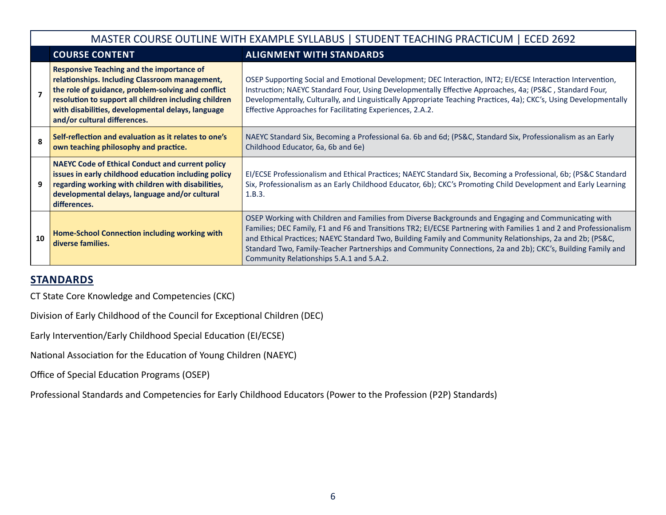|    | MASTER COURSE OUTLINE WITH EXAMPLE SYLLABUS   STUDENT TEACHING PRACTICUM   ECED 2692                                                                                                                                                                                                                   |                                                                                                                                                                                                                                                                                                                                                                                                                                                                                                   |  |  |
|----|--------------------------------------------------------------------------------------------------------------------------------------------------------------------------------------------------------------------------------------------------------------------------------------------------------|---------------------------------------------------------------------------------------------------------------------------------------------------------------------------------------------------------------------------------------------------------------------------------------------------------------------------------------------------------------------------------------------------------------------------------------------------------------------------------------------------|--|--|
|    | <b>COURSE CONTENT</b>                                                                                                                                                                                                                                                                                  | <b>ALIGNMENT WITH STANDARDS</b>                                                                                                                                                                                                                                                                                                                                                                                                                                                                   |  |  |
|    | <b>Responsive Teaching and the importance of</b><br>relationships. Including Classroom management,<br>the role of guidance, problem-solving and conflict<br>resolution to support all children including children<br>with disabilities, developmental delays, language<br>and/or cultural differences. | OSEP Supporting Social and Emotional Development; DEC Interaction, INT2; EI/ECSE Interaction Intervention,<br>Instruction; NAEYC Standard Four, Using Developmentally Effective Approaches, 4a; (PS&C, Standard Four,<br>Developmentally, Culturally, and Linguistically Appropriate Teaching Practices, 4a); CKC's, Using Developmentally<br>Effective Approaches for Facilitating Experiences, 2.A.2.                                                                                           |  |  |
| ጸ  | Self-reflection and evaluation as it relates to one's<br>own teaching philosophy and practice.                                                                                                                                                                                                         | NAEYC Standard Six, Becoming a Professional 6a. 6b and 6d; (PS&C, Standard Six, Professionalism as an Early<br>Childhood Educator, 6a, 6b and 6e)                                                                                                                                                                                                                                                                                                                                                 |  |  |
|    | <b>NAEYC Code of Ethical Conduct and current policy</b><br>issues in early childhood education including policy<br>regarding working with children with disabilities,<br>developmental delays, language and/or cultural<br>differences.                                                                | EI/ECSE Professionalism and Ethical Practices; NAEYC Standard Six, Becoming a Professional, 6b; (PS&C Standard<br>Six, Professionalism as an Early Childhood Educator, 6b); CKC's Promoting Child Development and Early Learning<br>1.B.3.                                                                                                                                                                                                                                                        |  |  |
| 10 | Home-School Connection including working with<br>diverse families.                                                                                                                                                                                                                                     | OSEP Working with Children and Families from Diverse Backgrounds and Engaging and Communicating with<br>Families; DEC Family, F1 and F6 and Transitions TR2; EI/ECSE Partnering with Families 1 and 2 and Professionalism<br>and Ethical Practices; NAEYC Standard Two, Building Family and Community Relationships, 2a and 2b; (PS&C,<br>Standard Two, Family-Teacher Partnerships and Community Connections, 2a and 2b); CKC's, Building Family and<br>Community Relationships 5.A.1 and 5.A.2. |  |  |

## **STANDARDS**

CT State Core Knowledge and Competencies (CKC)

Division of Early Childhood of the Council for Exceptional Children (DEC)

Early Intervention/Early Childhood Special Education (EI/ECSE)

National Association for the Education of Young Children (NAEYC)

Office of Special Education Programs (OSEP)

Professional Standards and Competencies for Early Childhood Educators (Power to the Profession (P2P) Standards)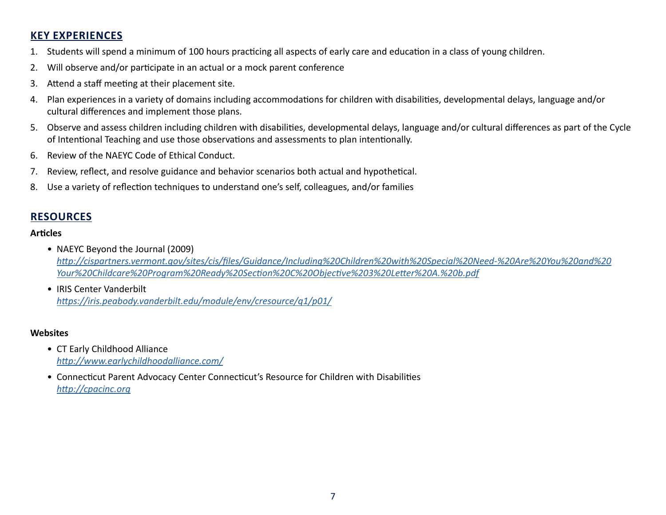## **KEY EXPERIENCES**

- 1. Students will spend a minimum of 100 hours practicing all aspects of early care and education in a class of young children.
- 2. Will observe and/or participate in an actual or a mock parent conference
- 3. Attend a staff meeting at their placement site.
- 4. Plan experiences in a variety of domains including accommodations for children with disabilities, developmental delays, language and/or cultural differences and implement those plans.
- 5. Observe and assess children including children with disabilities, developmental delays, language and/or cultural differences as part of the Cycle of Intentional Teaching and use those observations and assessments to plan intentionally.
- 6. Review of the NAEYC Code of Ethical Conduct.
- 7. Review, reflect, and resolve guidance and behavior scenarios both actual and hypothetical.
- 8. Use a variety of reflection techniques to understand one's self, colleagues, and/or families

## **RESOURCES**

#### **Articles**

- NAEYC Beyond the Journal (2009) *[http://cispartners.vermont.gov/sites/cis/files/Guidance/Including%20Children%20with%20Special%20Need-%20Are%20You%20and%20](https://cispartners.vermont.gov/sites/cis/files/Guidance/Including%20Children%20with%20Special%20Need-%20Are%20You%20and%20Your%20Childcare%20Program%20Ready%20Section%20C%20Objective%203%20Letter%20A.%20b.pdf) [Your%20Childcare%20Program%20Ready%20Section%20C%20Objective%203%20Letter%20A.%20b.pdf](https://cispartners.vermont.gov/sites/cis/files/Guidance/Including%20Children%20with%20Special%20Need-%20Are%20You%20and%20Your%20Childcare%20Program%20Ready%20Section%20C%20Objective%203%20Letter%20A.%20b.pdf)*
- IRIS Center Vanderbilt *<https://iris.peabody.vanderbilt.edu/module/env/cresource/q1/p01/>*

#### **Websites**

- CT Early Childhood Alliance *[http://www.earlychildhoodalliance.com/](https://www.earlychildhoodalliance.com)*
- Connecticut Parent Advocacy Center Connecticut's Resource for Children with Disabilities *[http://cpacinc.org](https://cpacinc.org)*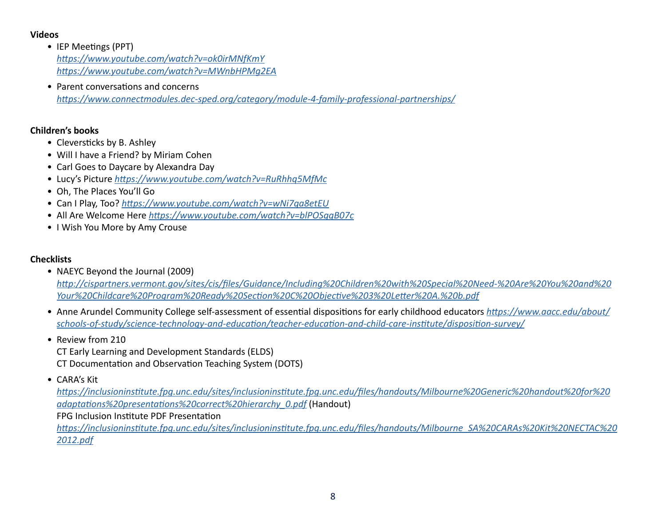#### **Videos**

- IEP Meetings (PPT) *<https://www.youtube.com/watch?v=ok0irMNfKmY> <https://www.youtube.com/watch?v=MWnbHPMg2EA>*
- Parent conversations and concerns *[https://www.connectmodules.dec-sped.org/category/module-4-family-professional-partnerships/](https://connectmodules.dec-sped.org/category/module-4-family-professional-partnerships/)*

#### **Children's books**

- Cleversticks by B. Ashley
- Will I have a Friend? by Miriam Cohen
- Carl Goes to Daycare by Alexandra Day
- Lucy's Picture *<https://www.youtube.com/watch?v=RuRhhq5MfMc>*
- Oh, The Places You'll Go
- Can I Play, Too? *<https://www.youtube.com/watch?v=wNi7qa8etEU>*
- All Are Welcome Here *<https://www.youtube.com/watch?v=blPOSggB07c>*
- I Wish You More by Amy Crouse

#### **Checklists**

• NAEYC Beyond the Journal (2009)

*[http://cispartners.vermont.gov/sites/cis/files/Guidance/Including%20Children%20with%20Special%20Need-%20Are%20You%20and%20](https://cispartners.vermont.gov/sites/cis/files/Guidance/Including%20Children%20with%20Special%20Need-%20Are%20You%20and%20Your%20Childcare%20Program%20Ready%20Section%20C%20Objective%203%20Letter%20A.%20b.pdf) [Your%20Childcare%20Program%20Ready%20Section%20C%20Objective%203%20Letter%20A.%20b.pdf](https://cispartners.vermont.gov/sites/cis/files/Guidance/Including%20Children%20with%20Special%20Need-%20Are%20You%20and%20Your%20Childcare%20Program%20Ready%20Section%20C%20Objective%203%20Letter%20A.%20b.pdf)*

- Anne Arundel Community College self-assessment of essential dispositions for early childhood educators *[https://www.aacc.edu/about/](https://www.aacc.edu/about/schools-of-study/science-technology-and-education/teacher-education-and-child-care-institute/disposition-survey/) [schools-of-study/science-technology-and-education/teacher-education-and-child-care-institute/disposition-survey/](https://www.aacc.edu/about/schools-of-study/science-technology-and-education/teacher-education-and-child-care-institute/disposition-survey/)*
- Review from 210

CT Early Learning and Development Standards (ELDS) CT Documentation and Observation Teaching System (DOTS)

• CARA's Kit

*[https://inclusioninstitute.fpg.unc.edu/sites/inclusioninstitute.fpg.unc.edu/files/handouts/Milbourne%20Generic%20handout%20for%20](https://inclusioninstitute.fpg.unc.edu/sites/inclusioninstitute.fpg.unc.edu/files/handouts/Milbourne%20Generic%20handout%20for%20adaptations%20presentations%20correct%20hierarchy_0.pdf) [adaptations%20presentations%20correct%20hierarchy\\_0.pdf](https://inclusioninstitute.fpg.unc.edu/sites/inclusioninstitute.fpg.unc.edu/files/handouts/Milbourne%20Generic%20handout%20for%20adaptations%20presentations%20correct%20hierarchy_0.pdf)* (Handout)

FPG Inclusion Institute PDF Presentation

*[https://inclusioninstitute.fpg.unc.edu/sites/inclusioninstitute.fpg.unc.edu/files/handouts/Milbourne\\_SA%20CARAs%20Kit%20NECTAC%20](https://inclusioninstitute.fpg.unc.edu/sites/inclusioninstitute.fpg.unc.edu/files/handouts/Milbourne_SA%20CARAs%20Kit%20NECTAC%202012.pdf) [2012.pdf](https://inclusioninstitute.fpg.unc.edu/sites/inclusioninstitute.fpg.unc.edu/files/handouts/Milbourne_SA%20CARAs%20Kit%20NECTAC%202012.pdf)*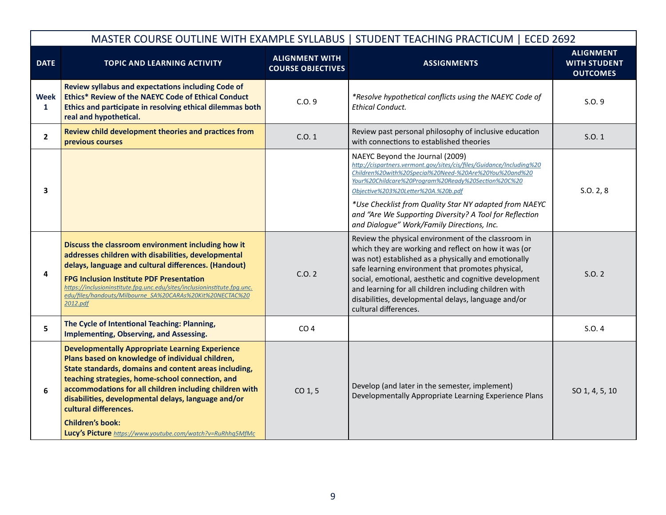|                      |                                                                                                                                                                                                                                                                                                                                                                                                                                                             |                                                   | MASTER COURSE OUTLINE WITH EXAMPLE SYLLABUS   STUDENT TEACHING PRACTICUM   ECED 2692                                                                                                                                                                                                                                                                                                                                               |                                                            |
|----------------------|-------------------------------------------------------------------------------------------------------------------------------------------------------------------------------------------------------------------------------------------------------------------------------------------------------------------------------------------------------------------------------------------------------------------------------------------------------------|---------------------------------------------------|------------------------------------------------------------------------------------------------------------------------------------------------------------------------------------------------------------------------------------------------------------------------------------------------------------------------------------------------------------------------------------------------------------------------------------|------------------------------------------------------------|
| <b>DATE</b>          | TOPIC AND LEARNING ACTIVITY                                                                                                                                                                                                                                                                                                                                                                                                                                 | <b>ALIGNMENT WITH</b><br><b>COURSE OBJECTIVES</b> | <b>ASSIGNMENTS</b>                                                                                                                                                                                                                                                                                                                                                                                                                 | <b>ALIGNMENT</b><br><b>WITH STUDENT</b><br><b>OUTCOMES</b> |
| Week<br>$\mathbf{1}$ | Review syllabus and expectations including Code of<br>Ethics* Review of the NAEYC Code of Ethical Conduct<br>Ethics and participate in resolving ethical dilemmas both<br>real and hypothetical.                                                                                                                                                                                                                                                            | C.0.9                                             | *Resolve hypothetical conflicts using the NAEYC Code of<br><b>Ethical Conduct.</b>                                                                                                                                                                                                                                                                                                                                                 | S.0.9                                                      |
| $\mathbf{2}$         | Review child development theories and practices from<br>previous courses                                                                                                                                                                                                                                                                                                                                                                                    | C.0.1                                             | Review past personal philosophy of inclusive education<br>with connections to established theories                                                                                                                                                                                                                                                                                                                                 | S.O. 1                                                     |
| 3                    |                                                                                                                                                                                                                                                                                                                                                                                                                                                             |                                                   | NAEYC Beyond the Journal (2009)<br>http://cispartners.vermont.gov/sites/cis/files/Guidance/Including%20<br>Children%20with%20Special%20Need-%20Are%20You%20and%20<br>Your%20Childcare%20Program%20Ready%20Section%20C%20<br>Objective%203%20Letter%20A.%20b.pdf<br>*Use Checklist from Quality Star NY adapted from NAEYC<br>and "Are We Supporting Diversity? A Tool for Reflection<br>and Dialoque" Work/Family Directions, Inc. | S.0.2, 8                                                   |
| 4                    | Discuss the classroom environment including how it<br>addresses children with disabilities, developmental<br>delays, language and cultural differences. (Handout)<br><b>FPG Inclusion Institute PDF Presentation</b><br>https://inclusioninstitute.fpg.unc.edu/sites/inclusioninstitute.fpg.unc.<br>edu/files/handouts/Milbourne SA%20CARAs%20Kit%20NECTAC%20<br>2012.pdf                                                                                   | C.0.2                                             | Review the physical environment of the classroom in<br>which they are working and reflect on how it was (or<br>was not) established as a physically and emotionally<br>safe learning environment that promotes physical,<br>social, emotional, aesthetic and cognitive development<br>and learning for all children including children with<br>disabilities, developmental delays, language and/or<br>cultural differences.        | S.0.2                                                      |
| 5                    | The Cycle of Intentional Teaching: Planning,<br><b>Implementing, Observing, and Assessing.</b>                                                                                                                                                                                                                                                                                                                                                              | CO <sub>4</sub>                                   |                                                                                                                                                                                                                                                                                                                                                                                                                                    | S.O.4                                                      |
| 6                    | <b>Developmentally Appropriate Learning Experience</b><br>Plans based on knowledge of individual children,<br>State standards, domains and content areas including,<br>teaching strategies, home-school connection, and<br>accommodations for all children including children with<br>disabilities, developmental delays, language and/or<br>cultural differences.<br><b>Children's book:</b><br>Lucy's Picture https://www.youtube.com/watch?v=RuRhhq5MfMc | $CO1$ , 5                                         | Develop (and later in the semester, implement)<br>Developmentally Appropriate Learning Experience Plans                                                                                                                                                                                                                                                                                                                            | SO 1, 4, 5, 10                                             |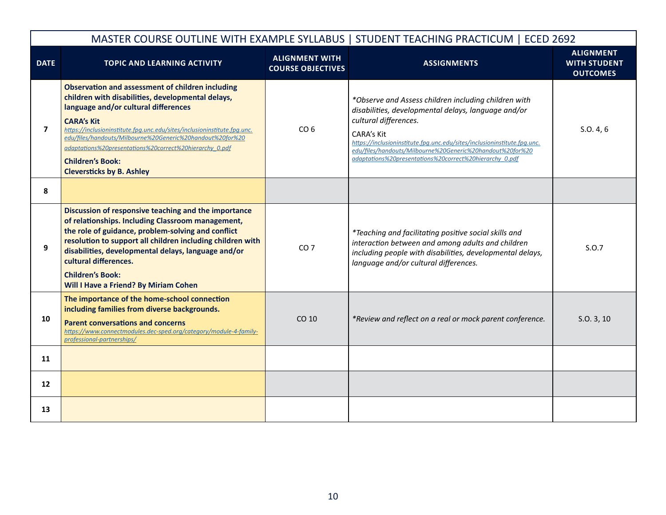|                |                                                                                                                                                                                                                                                                                                                                                                                                                                              |                                                   | MASTER COURSE OUTLINE WITH EXAMPLE SYLLABUS   STUDENT TEACHING PRACTICUM   ECED 2692                                                                                                                                                                                                                                                                          |                                                            |
|----------------|----------------------------------------------------------------------------------------------------------------------------------------------------------------------------------------------------------------------------------------------------------------------------------------------------------------------------------------------------------------------------------------------------------------------------------------------|---------------------------------------------------|---------------------------------------------------------------------------------------------------------------------------------------------------------------------------------------------------------------------------------------------------------------------------------------------------------------------------------------------------------------|------------------------------------------------------------|
| <b>DATE</b>    | <b>TOPIC AND LEARNING ACTIVITY</b>                                                                                                                                                                                                                                                                                                                                                                                                           | <b>ALIGNMENT WITH</b><br><b>COURSE OBJECTIVES</b> | <b>ASSIGNMENTS</b>                                                                                                                                                                                                                                                                                                                                            | <b>ALIGNMENT</b><br><b>WITH STUDENT</b><br><b>OUTCOMES</b> |
| $\overline{7}$ | <b>Observation and assessment of children including</b><br>children with disabilities, developmental delays,<br>language and/or cultural differences<br><b>CARA's Kit</b><br>https://inclusioninstitute.fpg.unc.edu/sites/inclusioninstitute.fpg.unc.<br>edu/files/handouts/Milbourne%20Generic%20handout%20for%20<br>adaptations%20presentations%20correct%20hierarchy 0.pdf<br><b>Children's Book:</b><br><b>Cleversticks by B. Ashley</b> | CO <sub>6</sub>                                   | *Observe and Assess children including children with<br>disabilities, developmental delays, language and/or<br>cultural differences.<br><b>CARA's Kit</b><br>https://inclusioninstitute.fpg.unc.edu/sites/inclusioninstitute.fpg.unc.<br>edu/files/handouts/Milbourne%20Generic%20handout%20for%20<br>adaptations%20presentations%20correct%20hierarchy 0.pdf | S.0.4, 6                                                   |
| 8              |                                                                                                                                                                                                                                                                                                                                                                                                                                              |                                                   |                                                                                                                                                                                                                                                                                                                                                               |                                                            |
| 9              | Discussion of responsive teaching and the importance<br>of relationships. Including Classroom management,<br>the role of guidance, problem-solving and conflict<br>resolution to support all children including children with<br>disabilities, developmental delays, language and/or<br>cultural differences.<br><b>Children's Book:</b><br>Will I Have a Friend? By Miriam Cohen                                                            | CO <sub>7</sub>                                   | *Teaching and facilitating positive social skills and<br>interaction between and among adults and children<br>including people with disabilities, developmental delays,<br>language and/or cultural differences.                                                                                                                                              | S.0.7                                                      |
| 10             | The importance of the home-school connection<br>including families from diverse backgrounds.<br><b>Parent conversations and concerns</b><br>https://www.connectmodules.dec-sped.org/category/module-4-family-<br>professional-partnerships/                                                                                                                                                                                                  | CO 10                                             | *Review and reflect on a real or mock parent conference.                                                                                                                                                                                                                                                                                                      | S.0.3, 10                                                  |
| 11             |                                                                                                                                                                                                                                                                                                                                                                                                                                              |                                                   |                                                                                                                                                                                                                                                                                                                                                               |                                                            |
| 12             |                                                                                                                                                                                                                                                                                                                                                                                                                                              |                                                   |                                                                                                                                                                                                                                                                                                                                                               |                                                            |
| 13             |                                                                                                                                                                                                                                                                                                                                                                                                                                              |                                                   |                                                                                                                                                                                                                                                                                                                                                               |                                                            |